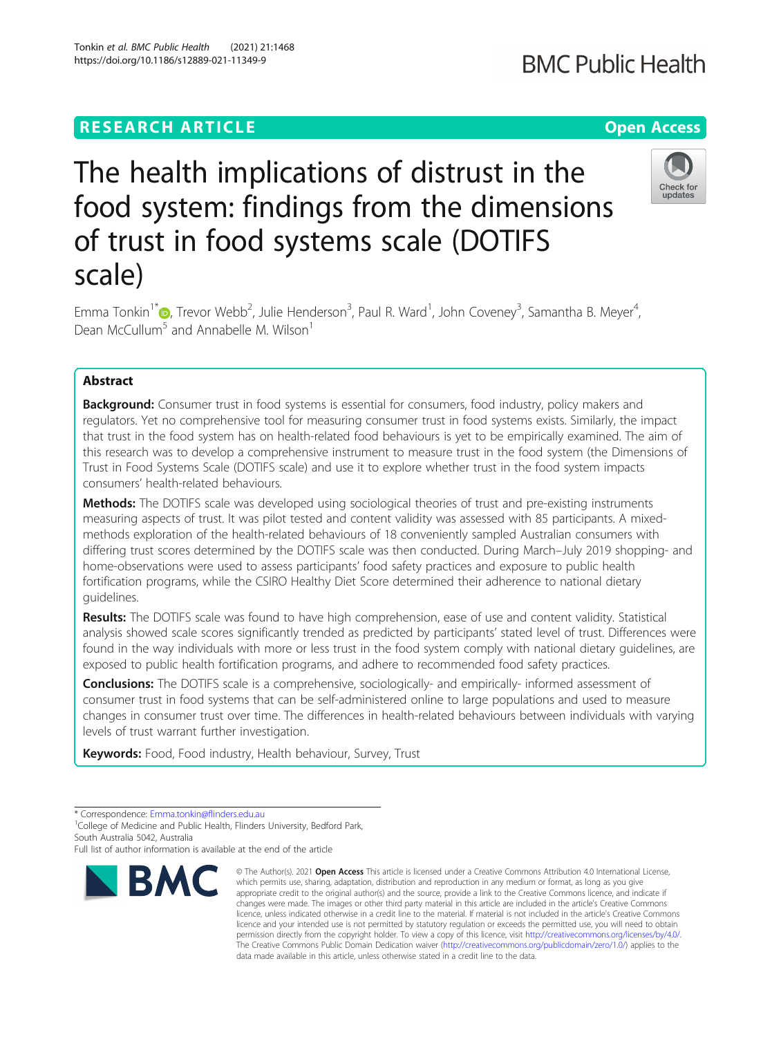## **RESEARCH ARTICLE Example 2014 12:30 The Contract of Contract ACCESS**

# The health implications of distrust in the food system: findings from the dimensions of trust in food systems scale (DOTIFS scale)

Emma Tonkin<sup>1\*</sup>�[,](http://orcid.org/0000-0001-9941-4251) Trevor Webb<sup>2</sup>, Julie Henderson<sup>3</sup>, Paul R. Ward<sup>1</sup>, John Coveney<sup>3</sup>, Samantha B. Meyer<sup>4</sup> , Dean McCullum<sup>5</sup> and Annabelle M. Wilson<sup>1</sup>

### Abstract

**Background:** Consumer trust in food systems is essential for consumers, food industry, policy makers and regulators. Yet no comprehensive tool for measuring consumer trust in food systems exists. Similarly, the impact that trust in the food system has on health-related food behaviours is yet to be empirically examined. The aim of this research was to develop a comprehensive instrument to measure trust in the food system (the Dimensions of Trust in Food Systems Scale (DOTIFS scale) and use it to explore whether trust in the food system impacts consumers' health-related behaviours.

**Methods:** The DOTIFS scale was developed using sociological theories of trust and pre-existing instruments measuring aspects of trust. It was pilot tested and content validity was assessed with 85 participants. A mixedmethods exploration of the health-related behaviours of 18 conveniently sampled Australian consumers with differing trust scores determined by the DOTIFS scale was then conducted. During March–July 2019 shopping- and home-observations were used to assess participants' food safety practices and exposure to public health fortification programs, while the CSIRO Healthy Diet Score determined their adherence to national dietary guidelines.

Results: The DOTIFS scale was found to have high comprehension, ease of use and content validity. Statistical analysis showed scale scores significantly trended as predicted by participants' stated level of trust. Differences were found in the way individuals with more or less trust in the food system comply with national dietary guidelines, are exposed to public health fortification programs, and adhere to recommended food safety practices.

**Conclusions:** The DOTIFS scale is a comprehensive, sociologically- and empirically- informed assessment of consumer trust in food systems that can be self-administered online to large populations and used to measure changes in consumer trust over time. The differences in health-related behaviours between individuals with varying levels of trust warrant further investigation.

Keywords: Food, Food industry, Health behaviour, Survey, Trust



<sup>©</sup> The Author(s), 2021 **Open Access** This article is licensed under a Creative Commons Attribution 4.0 International License, which permits use, sharing, adaptation, distribution and reproduction in any medium or format, as long as you give appropriate credit to the original author(s) and the source, provide a link to the Creative Commons licence, and indicate if changes were made. The images or other third party material in this article are included in the article's Creative Commons licence, unless indicated otherwise in a credit line to the material. If material is not included in the article's Creative Commons licence and your intended use is not permitted by statutory regulation or exceeds the permitted use, you will need to obtain permission directly from the copyright holder. To view a copy of this licence, visit [http://creativecommons.org/licenses/by/4.0/.](http://creativecommons.org/licenses/by/4.0/) The Creative Commons Public Domain Dedication waiver [\(http://creativecommons.org/publicdomain/zero/1.0/](http://creativecommons.org/publicdomain/zero/1.0/)) applies to the data made available in this article, unless otherwise stated in a credit line to the data.



<sup>\*</sup> Correspondence: [Emma.tonkin@flinders.edu.au](mailto:Emma.tonkin@flinders.edu.au) <sup>1</sup>

<sup>&</sup>lt;sup>1</sup>College of Medicine and Public Health, Flinders University, Bedford Park, South Australia 5042, Australia

Full list of author information is available at the end of the article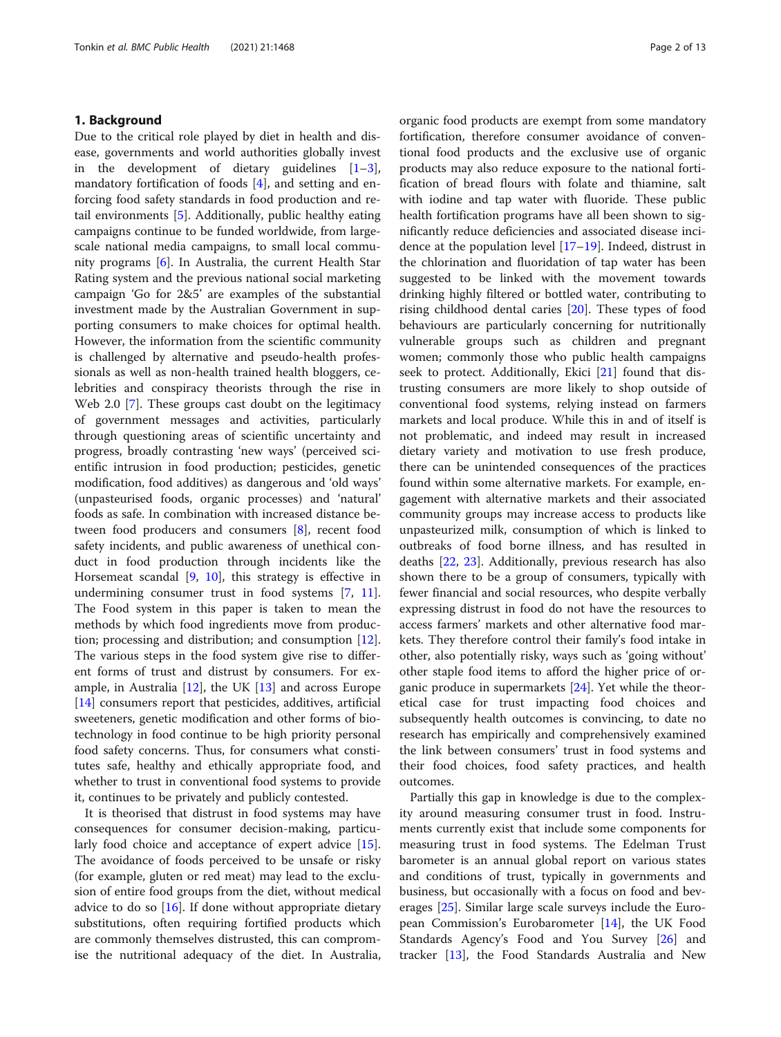#### 1. Background

Due to the critical role played by diet in health and disease, governments and world authorities globally invest in the development of dietary guidelines  $[1-3]$  $[1-3]$  $[1-3]$  $[1-3]$ , mandatory fortification of foods [[4\]](#page-11-0), and setting and enforcing food safety standards in food production and retail environments [\[5](#page-11-0)]. Additionally, public healthy eating campaigns continue to be funded worldwide, from largescale national media campaigns, to small local community programs [\[6](#page-11-0)]. In Australia, the current Health Star Rating system and the previous national social marketing campaign 'Go for 2&5' are examples of the substantial investment made by the Australian Government in supporting consumers to make choices for optimal health. However, the information from the scientific community is challenged by alternative and pseudo-health professionals as well as non-health trained health bloggers, celebrities and conspiracy theorists through the rise in Web 2.0 [\[7](#page-11-0)]. These groups cast doubt on the legitimacy of government messages and activities, particularly through questioning areas of scientific uncertainty and progress, broadly contrasting 'new ways' (perceived scientific intrusion in food production; pesticides, genetic modification, food additives) as dangerous and 'old ways' (unpasteurised foods, organic processes) and 'natural' foods as safe. In combination with increased distance between food producers and consumers [[8\]](#page-11-0), recent food safety incidents, and public awareness of unethical conduct in food production through incidents like the Horsemeat scandal [[9](#page-12-0), [10](#page-12-0)], this strategy is effective in undermining consumer trust in food systems [[7,](#page-11-0) [11](#page-12-0)]. The Food system in this paper is taken to mean the methods by which food ingredients move from production; processing and distribution; and consumption [\[12](#page-12-0)]. The various steps in the food system give rise to different forms of trust and distrust by consumers. For example, in Australia  $[12]$ , the UK  $[13]$  $[13]$  $[13]$  and across Europe [[14\]](#page-12-0) consumers report that pesticides, additives, artificial sweeteners, genetic modification and other forms of biotechnology in food continue to be high priority personal food safety concerns. Thus, for consumers what constitutes safe, healthy and ethically appropriate food, and whether to trust in conventional food systems to provide it, continues to be privately and publicly contested.

It is theorised that distrust in food systems may have consequences for consumer decision-making, particularly food choice and acceptance of expert advice [\[15](#page-12-0)]. The avoidance of foods perceived to be unsafe or risky (for example, gluten or red meat) may lead to the exclusion of entire food groups from the diet, without medical advice to do so  $[16]$ . If done without appropriate dietary substitutions, often requiring fortified products which are commonly themselves distrusted, this can compromise the nutritional adequacy of the diet. In Australia,

organic food products are exempt from some mandatory fortification, therefore consumer avoidance of conventional food products and the exclusive use of organic products may also reduce exposure to the national fortification of bread flours with folate and thiamine, salt with iodine and tap water with fluoride. These public health fortification programs have all been shown to significantly reduce deficiencies and associated disease incidence at the population level [[17](#page-12-0)–[19](#page-12-0)]. Indeed, distrust in the chlorination and fluoridation of tap water has been suggested to be linked with the movement towards drinking highly filtered or bottled water, contributing to rising childhood dental caries [[20\]](#page-12-0). These types of food behaviours are particularly concerning for nutritionally vulnerable groups such as children and pregnant women; commonly those who public health campaigns seek to protect. Additionally, Ekici [[21\]](#page-12-0) found that distrusting consumers are more likely to shop outside of conventional food systems, relying instead on farmers markets and local produce. While this in and of itself is not problematic, and indeed may result in increased dietary variety and motivation to use fresh produce, there can be unintended consequences of the practices found within some alternative markets. For example, engagement with alternative markets and their associated community groups may increase access to products like unpasteurized milk, consumption of which is linked to outbreaks of food borne illness, and has resulted in deaths [\[22,](#page-12-0) [23\]](#page-12-0). Additionally, previous research has also shown there to be a group of consumers, typically with fewer financial and social resources, who despite verbally expressing distrust in food do not have the resources to access farmers' markets and other alternative food markets. They therefore control their family's food intake in other, also potentially risky, ways such as 'going without' other staple food items to afford the higher price of organic produce in supermarkets [[24\]](#page-12-0). Yet while the theoretical case for trust impacting food choices and subsequently health outcomes is convincing, to date no research has empirically and comprehensively examined the link between consumers' trust in food systems and their food choices, food safety practices, and health outcomes.

Partially this gap in knowledge is due to the complexity around measuring consumer trust in food. Instruments currently exist that include some components for measuring trust in food systems. The Edelman Trust barometer is an annual global report on various states and conditions of trust, typically in governments and business, but occasionally with a focus on food and beverages [[25](#page-12-0)]. Similar large scale surveys include the European Commission's Eurobarometer [\[14](#page-12-0)], the UK Food Standards Agency's Food and You Survey [[26\]](#page-12-0) and tracker [[13](#page-12-0)], the Food Standards Australia and New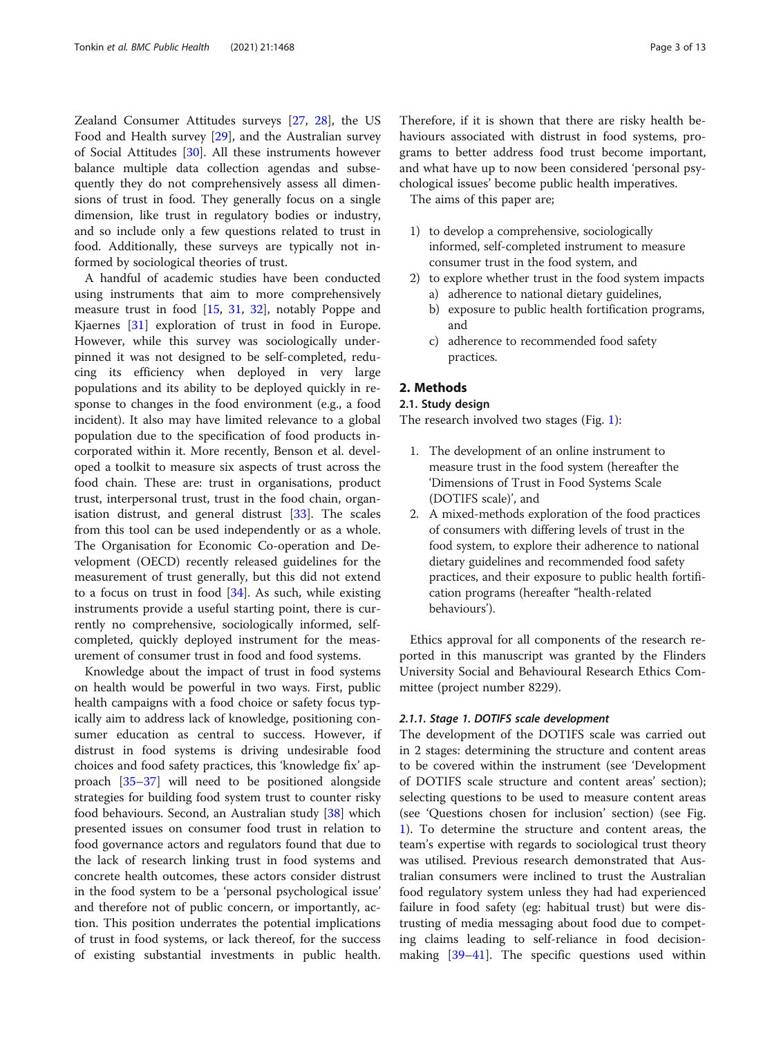Zealand Consumer Attitudes surveys [\[27,](#page-12-0) [28\]](#page-12-0), the US Food and Health survey [\[29\]](#page-12-0), and the Australian survey of Social Attitudes [\[30](#page-12-0)]. All these instruments however balance multiple data collection agendas and subsequently they do not comprehensively assess all dimensions of trust in food. They generally focus on a single dimension, like trust in regulatory bodies or industry, and so include only a few questions related to trust in food. Additionally, these surveys are typically not informed by sociological theories of trust.

A handful of academic studies have been conducted using instruments that aim to more comprehensively measure trust in food [[15,](#page-12-0) [31](#page-12-0), [32\]](#page-12-0), notably Poppe and Kjaernes [\[31](#page-12-0)] exploration of trust in food in Europe. However, while this survey was sociologically underpinned it was not designed to be self-completed, reducing its efficiency when deployed in very large populations and its ability to be deployed quickly in response to changes in the food environment (e.g., a food incident). It also may have limited relevance to a global population due to the specification of food products incorporated within it. More recently, Benson et al. developed a toolkit to measure six aspects of trust across the food chain. These are: trust in organisations, product trust, interpersonal trust, trust in the food chain, organisation distrust, and general distrust [\[33\]](#page-12-0). The scales from this tool can be used independently or as a whole. The Organisation for Economic Co-operation and Development (OECD) recently released guidelines for the measurement of trust generally, but this did not extend to a focus on trust in food  $[34]$  $[34]$ . As such, while existing instruments provide a useful starting point, there is currently no comprehensive, sociologically informed, selfcompleted, quickly deployed instrument for the measurement of consumer trust in food and food systems.

Knowledge about the impact of trust in food systems on health would be powerful in two ways. First, public health campaigns with a food choice or safety focus typically aim to address lack of knowledge, positioning consumer education as central to success. However, if distrust in food systems is driving undesirable food choices and food safety practices, this 'knowledge fix' approach [[35](#page-12-0)–[37](#page-12-0)] will need to be positioned alongside strategies for building food system trust to counter risky food behaviours. Second, an Australian study [[38\]](#page-12-0) which presented issues on consumer food trust in relation to food governance actors and regulators found that due to the lack of research linking trust in food systems and concrete health outcomes, these actors consider distrust in the food system to be a 'personal psychological issue' and therefore not of public concern, or importantly, action. This position underrates the potential implications of trust in food systems, or lack thereof, for the success of existing substantial investments in public health.

Therefore, if it is shown that there are risky health behaviours associated with distrust in food systems, programs to better address food trust become important, and what have up to now been considered 'personal psychological issues' become public health imperatives.

The aims of this paper are;

- 1) to develop a comprehensive, sociologically informed, self-completed instrument to measure consumer trust in the food system, and
- 2) to explore whether trust in the food system impacts a) adherence to national dietary guidelines,
	- b) exposure to public health fortification programs, and
	- c) adherence to recommended food safety practices.

#### 2. Methods

#### 2.1. Study design

The research involved two stages (Fig. [1\)](#page-3-0):

- 1. The development of an online instrument to measure trust in the food system (hereafter the 'Dimensions of Trust in Food Systems Scale (DOTIFS scale)', and
- 2. A mixed-methods exploration of the food practices of consumers with differing levels of trust in the food system, to explore their adherence to national dietary guidelines and recommended food safety practices, and their exposure to public health fortification programs (hereafter "health-related behaviours').

Ethics approval for all components of the research reported in this manuscript was granted by the Flinders University Social and Behavioural Research Ethics Committee (project number 8229).

#### 2.1.1. Stage 1. DOTIFS scale development

The development of the DOTIFS scale was carried out in 2 stages: determining the structure and content areas to be covered within the instrument (see 'Development of DOTIFS scale structure and content areas' section); selecting questions to be used to measure content areas (see 'Questions chosen for inclusion' section) (see Fig. [1\)](#page-3-0). To determine the structure and content areas, the team's expertise with regards to sociological trust theory was utilised. Previous research demonstrated that Australian consumers were inclined to trust the Australian food regulatory system unless they had had experienced failure in food safety (eg: habitual trust) but were distrusting of media messaging about food due to competing claims leading to self-reliance in food decisionmaking [[39](#page-12-0)–[41](#page-12-0)]. The specific questions used within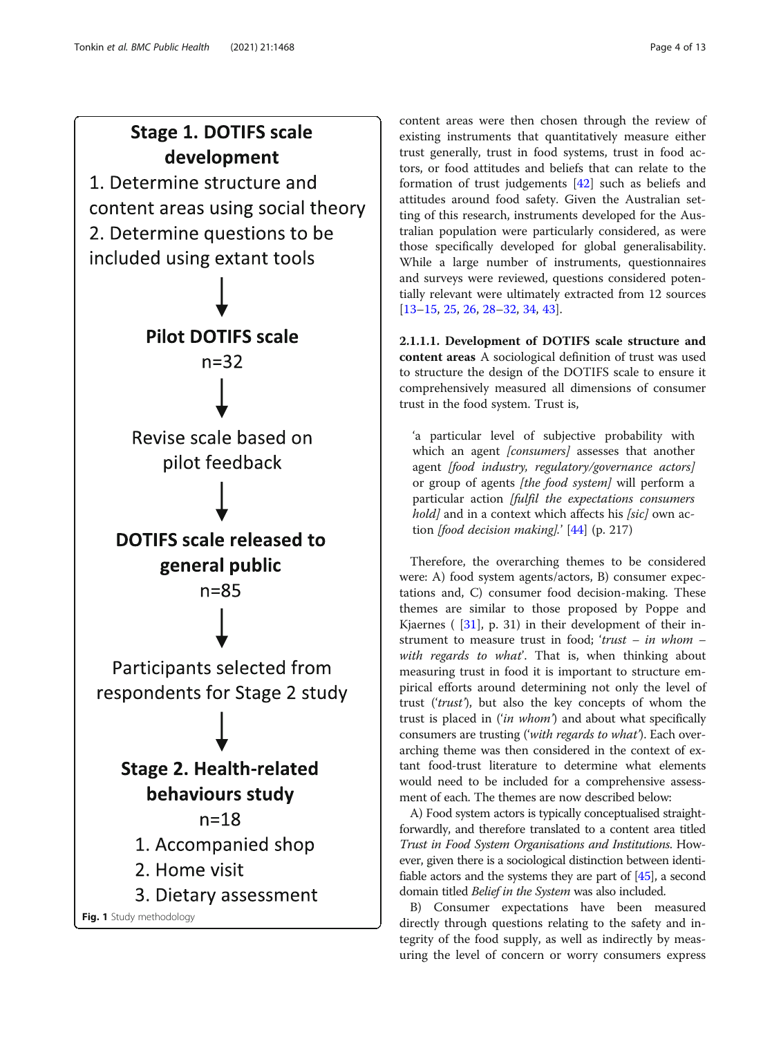# <span id="page-3-0"></span>**Stage 1. DOTIFS scale** development



Fig. 1 Study methodology

content areas were then chosen through the review of existing instruments that quantitatively measure either trust generally, trust in food systems, trust in food actors, or food attitudes and beliefs that can relate to the formation of trust judgements [\[42](#page-12-0)] such as beliefs and attitudes around food safety. Given the Australian setting of this research, instruments developed for the Australian population were particularly considered, as were those specifically developed for global generalisability. While a large number of instruments, questionnaires and surveys were reviewed, questions considered potentially relevant were ultimately extracted from 12 sources [[13](#page-12-0)–[15](#page-12-0), [25](#page-12-0), [26](#page-12-0), [28](#page-12-0)–[32,](#page-12-0) [34,](#page-12-0) [43\]](#page-12-0).

2.1.1.1. Development of DOTIFS scale structure and content areas A sociological definition of trust was used to structure the design of the DOTIFS scale to ensure it comprehensively measured all dimensions of consumer trust in the food system. Trust is,

'a particular level of subjective probability with which an agent *[consumers]* assesses that another agent [food industry, regulatory/governance actors] or group of agents *[the food system]* will perform a particular action [fulfil the expectations consumers hold] and in a context which affects his [sic] own action [food decision making].'  $[44]$  $[44]$  (p. 217)

Therefore, the overarching themes to be considered were: A) food system agents/actors, B) consumer expectations and, C) consumer food decision-making. These themes are similar to those proposed by Poppe and Kjaernes ( $[31]$  $[31]$ , p. 31) in their development of their instrument to measure trust in food; 'trust – in whom – with regards to what'. That is, when thinking about measuring trust in food it is important to structure empirical efforts around determining not only the level of trust ('trust'), but also the key concepts of whom the trust is placed in ('in whom') and about what specifically consumers are trusting ('with regards to what'). Each overarching theme was then considered in the context of extant food-trust literature to determine what elements would need to be included for a comprehensive assessment of each. The themes are now described below:

A) Food system actors is typically conceptualised straightforwardly, and therefore translated to a content area titled Trust in Food System Organisations and Institutions. However, given there is a sociological distinction between identifiable actors and the systems they are part of [[45](#page-12-0)], a second domain titled Belief in the System was also included.

B) Consumer expectations have been measured directly through questions relating to the safety and integrity of the food supply, as well as indirectly by measuring the level of concern or worry consumers express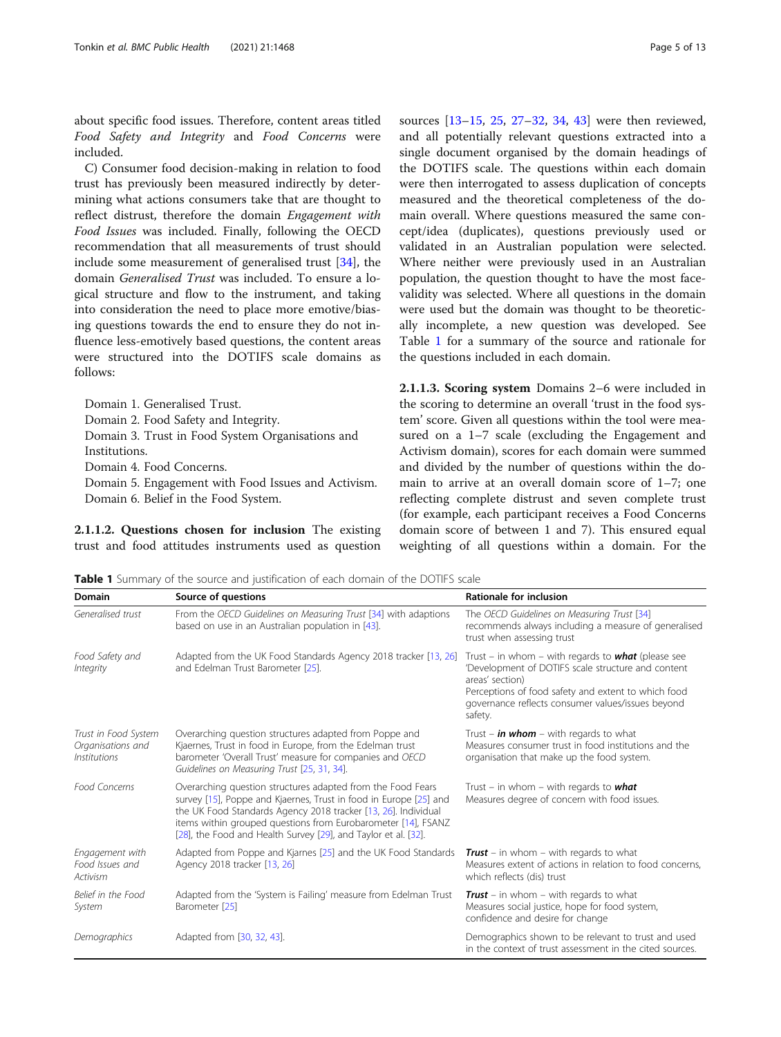about specific food issues. Therefore, content areas titled Food Safety and Integrity and Food Concerns were included.

C) Consumer food decision-making in relation to food trust has previously been measured indirectly by determining what actions consumers take that are thought to reflect distrust, therefore the domain Engagement with Food Issues was included. Finally, following the OECD recommendation that all measurements of trust should include some measurement of generalised trust [\[34](#page-12-0)], the domain Generalised Trust was included. To ensure a logical structure and flow to the instrument, and taking into consideration the need to place more emotive/biasing questions towards the end to ensure they do not influence less-emotively based questions, the content areas were structured into the DOTIFS scale domains as follows:

Domain 1. Generalised Trust. Domain 2. Food Safety and Integrity. Domain 3. Trust in Food System Organisations and Institutions. Domain 4. Food Concerns. Domain 5. Engagement with Food Issues and Activism.

2.1.1.2. Questions chosen for inclusion The existing trust and food attitudes instruments used as question

Domain 6. Belief in the Food System.

sources [\[13](#page-12-0)–[15,](#page-12-0) [25,](#page-12-0) [27](#page-12-0)–[32,](#page-12-0) [34,](#page-12-0) [43\]](#page-12-0) were then reviewed, and all potentially relevant questions extracted into a single document organised by the domain headings of the DOTIFS scale. The questions within each domain were then interrogated to assess duplication of concepts measured and the theoretical completeness of the domain overall. Where questions measured the same concept/idea (duplicates), questions previously used or validated in an Australian population were selected. Where neither were previously used in an Australian population, the question thought to have the most facevalidity was selected. Where all questions in the domain were used but the domain was thought to be theoretically incomplete, a new question was developed. See Table 1 for a summary of the source and rationale for the questions included in each domain.

2.1.1.3. Scoring system Domains 2–6 were included in the scoring to determine an overall 'trust in the food system' score. Given all questions within the tool were measured on a 1–7 scale (excluding the Engagement and Activism domain), scores for each domain were summed and divided by the number of questions within the domain to arrive at an overall domain score of 1–7; one reflecting complete distrust and seven complete trust (for example, each participant receives a Food Concerns domain score of between 1 and 7). This ensured equal weighting of all questions within a domain. For the

Table 1 Summary of the source and justification of each domain of the DOTIFS scale

| Domain                                                                         | Source of questions                                                                                                                                                                                                                                                                                                                   | <b>Rationale for inclusion</b>                                                                                                                                                                                                                            |
|--------------------------------------------------------------------------------|---------------------------------------------------------------------------------------------------------------------------------------------------------------------------------------------------------------------------------------------------------------------------------------------------------------------------------------|-----------------------------------------------------------------------------------------------------------------------------------------------------------------------------------------------------------------------------------------------------------|
| Generalised trust                                                              | From the OECD Guidelines on Measuring Trust [34] with adaptions<br>based on use in an Australian population in [43].                                                                                                                                                                                                                  | The OECD Guidelines on Measuring Trust [34]<br>recommends always including a measure of generalised<br>trust when assessing trust                                                                                                                         |
| Food Safety and<br>Integrity                                                   | Adapted from the UK Food Standards Agency 2018 tracker [13, 26]<br>and Edelman Trust Barometer [25].                                                                                                                                                                                                                                  | Trust – in whom – with regards to <b>what</b> (please see<br>'Development of DOTIFS scale structure and content<br>areas' section)<br>Perceptions of food safety and extent to which food<br>governance reflects consumer values/issues beyond<br>safety. |
| Trust in Food System<br>Organisations and<br><i><u><b>Institutions</b></u></i> | Overarching question structures adapted from Poppe and<br>Kjaernes, Trust in food in Europe, from the Edelman trust<br>barometer 'Overall Trust' measure for companies and OECD<br>Guidelines on Measuring Trust [25, 31, 34].                                                                                                        | Trust – <i>in whom</i> – with regards to what<br>Measures consumer trust in food institutions and the<br>organisation that make up the food system.                                                                                                       |
| Food Concerns                                                                  | Overarching question structures adapted from the Food Fears<br>survey [15], Poppe and Kjaernes, Trust in food in Europe [25] and<br>the UK Food Standards Agency 2018 tracker [13, 26]. Individual<br>items within grouped questions from Eurobarometer [14], FSANZ<br>[28], the Food and Health Survey [29], and Taylor et al. [32]. | Trust - in whom - with regards to $what$<br>Measures degree of concern with food issues.                                                                                                                                                                  |
| Engagement with<br>Food Issues and<br>Activism                                 | Adapted from Poppe and Kjarnes [25] and the UK Food Standards<br>Agency 2018 tracker [13, 26]                                                                                                                                                                                                                                         | <b>Trust</b> – in whom – with regards to what<br>Measures extent of actions in relation to food concerns,<br>which reflects (dis) trust                                                                                                                   |
| Belief in the Food<br>System                                                   | Adapted from the 'System is Failing' measure from Edelman Trust<br>Barometer [25]                                                                                                                                                                                                                                                     | <b>Trust</b> – in whom – with regards to what<br>Measures social justice, hope for food system,<br>confidence and desire for change                                                                                                                       |
| Demographics                                                                   | Adapted from [30, 32, 43].                                                                                                                                                                                                                                                                                                            | Demographics shown to be relevant to trust and used<br>in the context of trust assessment in the cited sources.                                                                                                                                           |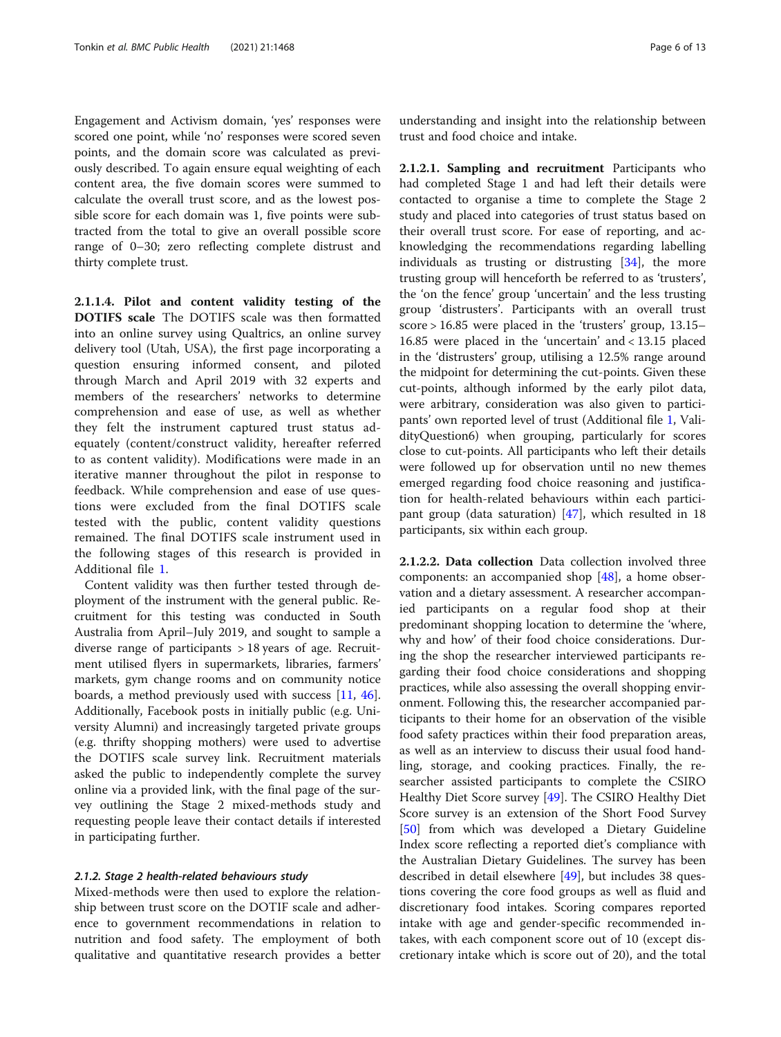Engagement and Activism domain, 'yes' responses were scored one point, while 'no' responses were scored seven points, and the domain score was calculated as previously described. To again ensure equal weighting of each content area, the five domain scores were summed to calculate the overall trust score, and as the lowest possible score for each domain was 1, five points were subtracted from the total to give an overall possible score range of 0–30; zero reflecting complete distrust and thirty complete trust.

2.1.1.4. Pilot and content validity testing of the DOTIFS scale The DOTIFS scale was then formatted into an online survey using Qualtrics, an online survey delivery tool (Utah, USA), the first page incorporating a question ensuring informed consent, and piloted through March and April 2019 with 32 experts and members of the researchers' networks to determine comprehension and ease of use, as well as whether they felt the instrument captured trust status adequately (content/construct validity, hereafter referred to as content validity). Modifications were made in an iterative manner throughout the pilot in response to feedback. While comprehension and ease of use questions were excluded from the final DOTIFS scale tested with the public, content validity questions remained. The final DOTIFS scale instrument used in the following stages of this research is provided in Additional file [1](#page-11-0).

Content validity was then further tested through deployment of the instrument with the general public. Recruitment for this testing was conducted in South Australia from April–July 2019, and sought to sample a diverse range of participants > 18 years of age. Recruitment utilised flyers in supermarkets, libraries, farmers' markets, gym change rooms and on community notice boards, a method previously used with success [[11](#page-12-0), [46](#page-12-0)]. Additionally, Facebook posts in initially public (e.g. University Alumni) and increasingly targeted private groups (e.g. thrifty shopping mothers) were used to advertise the DOTIFS scale survey link. Recruitment materials asked the public to independently complete the survey online via a provided link, with the final page of the survey outlining the Stage 2 mixed-methods study and requesting people leave their contact details if interested in participating further.

#### 2.1.2. Stage 2 health-related behaviours study

Mixed-methods were then used to explore the relationship between trust score on the DOTIF scale and adherence to government recommendations in relation to nutrition and food safety. The employment of both qualitative and quantitative research provides a better understanding and insight into the relationship between trust and food choice and intake.

2.1.2.1. Sampling and recruitment Participants who had completed Stage 1 and had left their details were contacted to organise a time to complete the Stage 2 study and placed into categories of trust status based on their overall trust score. For ease of reporting, and acknowledging the recommendations regarding labelling individuals as trusting or distrusting [\[34](#page-12-0)], the more trusting group will henceforth be referred to as 'trusters', the 'on the fence' group 'uncertain' and the less trusting group 'distrusters'. Participants with an overall trust score > 16.85 were placed in the 'trusters' group, 13.15– 16.85 were placed in the 'uncertain' and < 13.15 placed in the 'distrusters' group, utilising a 12.5% range around the midpoint for determining the cut-points. Given these cut-points, although informed by the early pilot data, were arbitrary, consideration was also given to participants' own reported level of trust (Additional file [1,](#page-11-0) ValidityQuestion6) when grouping, particularly for scores close to cut-points. All participants who left their details were followed up for observation until no new themes emerged regarding food choice reasoning and justification for health-related behaviours within each participant group (data saturation) [[47](#page-12-0)], which resulted in 18 participants, six within each group.

2.1.2.2. Data collection Data collection involved three components: an accompanied shop [[48\]](#page-12-0), a home observation and a dietary assessment. A researcher accompanied participants on a regular food shop at their predominant shopping location to determine the 'where, why and how' of their food choice considerations. During the shop the researcher interviewed participants regarding their food choice considerations and shopping practices, while also assessing the overall shopping environment. Following this, the researcher accompanied participants to their home for an observation of the visible food safety practices within their food preparation areas, as well as an interview to discuss their usual food handling, storage, and cooking practices. Finally, the researcher assisted participants to complete the CSIRO Healthy Diet Score survey [[49](#page-12-0)]. The CSIRO Healthy Diet Score survey is an extension of the Short Food Survey [[50\]](#page-12-0) from which was developed a Dietary Guideline Index score reflecting a reported diet's compliance with the Australian Dietary Guidelines. The survey has been described in detail elsewhere [\[49](#page-12-0)], but includes 38 questions covering the core food groups as well as fluid and discretionary food intakes. Scoring compares reported intake with age and gender-specific recommended intakes, with each component score out of 10 (except discretionary intake which is score out of 20), and the total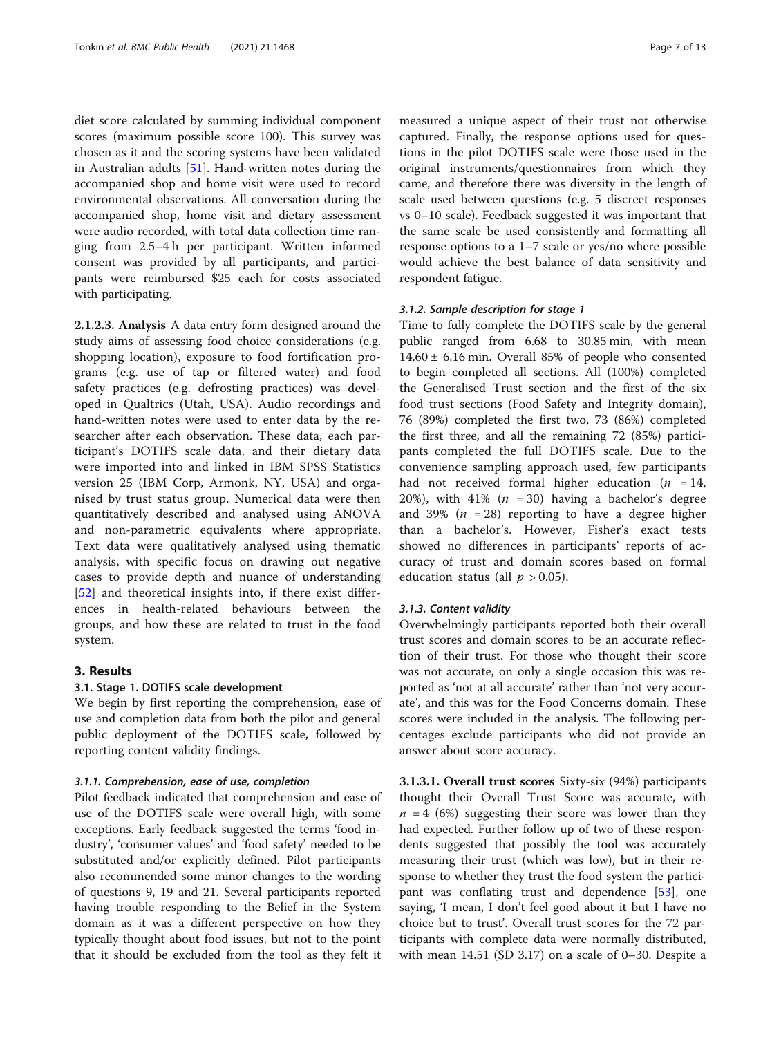diet score calculated by summing individual component scores (maximum possible score 100). This survey was chosen as it and the scoring systems have been validated in Australian adults [[51\]](#page-12-0). Hand-written notes during the accompanied shop and home visit were used to record environmental observations. All conversation during the accompanied shop, home visit and dietary assessment were audio recorded, with total data collection time ranging from 2.5–4 h per participant. Written informed consent was provided by all participants, and participants were reimbursed \$25 each for costs associated with participating.

2.1.2.3. Analysis A data entry form designed around the study aims of assessing food choice considerations (e.g. shopping location), exposure to food fortification programs (e.g. use of tap or filtered water) and food safety practices (e.g. defrosting practices) was developed in Qualtrics (Utah, USA). Audio recordings and hand-written notes were used to enter data by the researcher after each observation. These data, each participant's DOTIFS scale data, and their dietary data were imported into and linked in IBM SPSS Statistics version 25 (IBM Corp, Armonk, NY, USA) and organised by trust status group. Numerical data were then quantitatively described and analysed using ANOVA and non-parametric equivalents where appropriate. Text data were qualitatively analysed using thematic analysis, with specific focus on drawing out negative cases to provide depth and nuance of understanding [[52\]](#page-12-0) and theoretical insights into, if there exist differences in health-related behaviours between the groups, and how these are related to trust in the food system.

#### 3. Results

#### 3.1. Stage 1. DOTIFS scale development

We begin by first reporting the comprehension, ease of use and completion data from both the pilot and general public deployment of the DOTIFS scale, followed by reporting content validity findings.

#### 3.1.1. Comprehension, ease of use, completion

Pilot feedback indicated that comprehension and ease of use of the DOTIFS scale were overall high, with some exceptions. Early feedback suggested the terms 'food industry', 'consumer values' and 'food safety' needed to be substituted and/or explicitly defined. Pilot participants also recommended some minor changes to the wording of questions 9, 19 and 21. Several participants reported having trouble responding to the Belief in the System domain as it was a different perspective on how they typically thought about food issues, but not to the point that it should be excluded from the tool as they felt it measured a unique aspect of their trust not otherwise captured. Finally, the response options used for questions in the pilot DOTIFS scale were those used in the original instruments/questionnaires from which they came, and therefore there was diversity in the length of scale used between questions (e.g. 5 discreet responses vs 0–10 scale). Feedback suggested it was important that the same scale be used consistently and formatting all response options to a 1–7 scale or yes/no where possible would achieve the best balance of data sensitivity and respondent fatigue.

#### 3.1.2. Sample description for stage 1

Time to fully complete the DOTIFS scale by the general public ranged from 6.68 to 30.85 min, with mean 14.60 ± 6.16 min. Overall 85% of people who consented to begin completed all sections. All (100%) completed the Generalised Trust section and the first of the six food trust sections (Food Safety and Integrity domain), 76 (89%) completed the first two, 73 (86%) completed the first three, and all the remaining 72 (85%) participants completed the full DOTIFS scale. Due to the convenience sampling approach used, few participants had not received formal higher education ( $n = 14$ , 20%), with 41% ( $n = 30$ ) having a bachelor's degree and 39% ( $n = 28$ ) reporting to have a degree higher than a bachelor's. However, Fisher's exact tests showed no differences in participants' reports of accuracy of trust and domain scores based on formal education status (all  $p > 0.05$ ).

#### 3.1.3. Content validity

Overwhelmingly participants reported both their overall trust scores and domain scores to be an accurate reflection of their trust. For those who thought their score was not accurate, on only a single occasion this was reported as 'not at all accurate' rather than 'not very accurate', and this was for the Food Concerns domain. These scores were included in the analysis. The following percentages exclude participants who did not provide an answer about score accuracy.

3.1.3.1. Overall trust scores Sixty-six (94%) participants thought their Overall Trust Score was accurate, with  $n = 4$  (6%) suggesting their score was lower than they had expected. Further follow up of two of these respondents suggested that possibly the tool was accurately measuring their trust (which was low), but in their response to whether they trust the food system the participant was conflating trust and dependence [\[53](#page-12-0)], one saying, 'I mean, I don't feel good about it but I have no choice but to trust'. Overall trust scores for the 72 participants with complete data were normally distributed, with mean 14.51 (SD 3.17) on a scale of 0–30. Despite a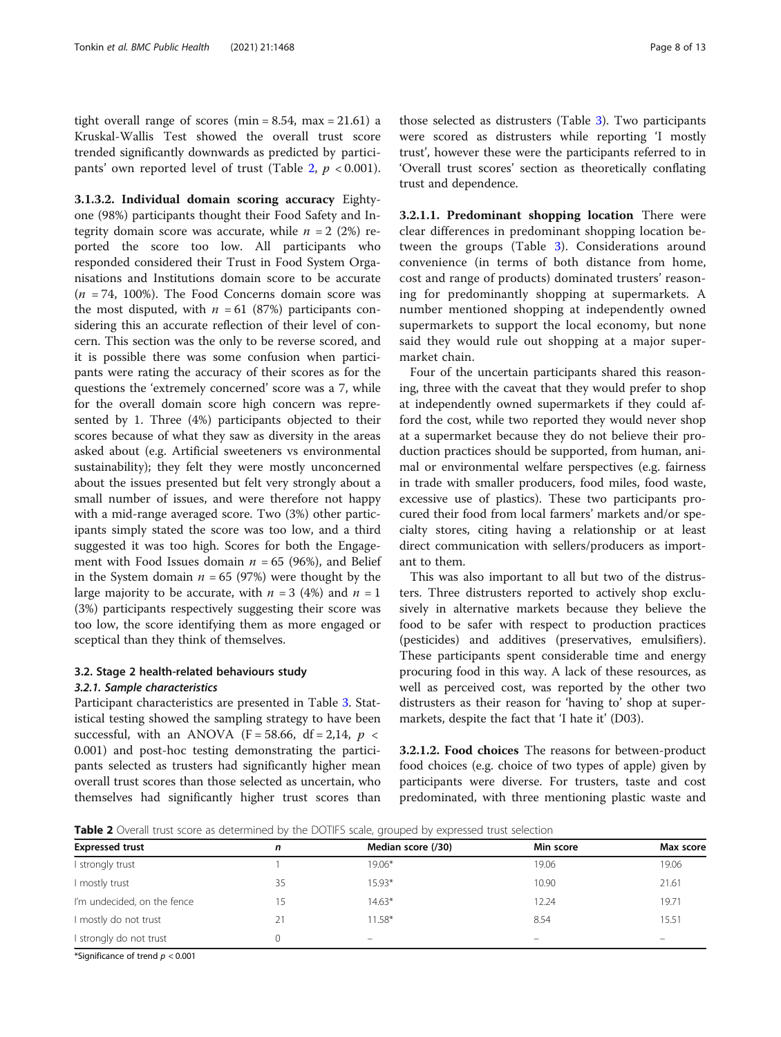tight overall range of scores (min =  $8.54$ , max =  $21.61$ ) a Kruskal-Wallis Test showed the overall trust score trended significantly downwards as predicted by participants' own reported level of trust (Table 2,  $p < 0.001$ ).

3.1.3.2. Individual domain scoring accuracy Eightyone (98%) participants thought their Food Safety and Integrity domain score was accurate, while  $n = 2$  (2%) reported the score too low. All participants who responded considered their Trust in Food System Organisations and Institutions domain score to be accurate  $(n = 74, 100\%)$ . The Food Concerns domain score was the most disputed, with  $n = 61$  (87%) participants considering this an accurate reflection of their level of concern. This section was the only to be reverse scored, and it is possible there was some confusion when participants were rating the accuracy of their scores as for the questions the 'extremely concerned' score was a 7, while for the overall domain score high concern was represented by 1. Three (4%) participants objected to their scores because of what they saw as diversity in the areas asked about (e.g. Artificial sweeteners vs environmental sustainability); they felt they were mostly unconcerned about the issues presented but felt very strongly about a small number of issues, and were therefore not happy with a mid-range averaged score. Two (3%) other participants simply stated the score was too low, and a third suggested it was too high. Scores for both the Engagement with Food Issues domain  $n = 65$  (96%), and Belief in the System domain  $n = 65$  (97%) were thought by the large majority to be accurate, with  $n = 3$  (4%) and  $n = 1$ (3%) participants respectively suggesting their score was too low, the score identifying them as more engaged or sceptical than they think of themselves.

#### 3.2. Stage 2 health-related behaviours study 3.2.1. Sample characteristics

Participant characteristics are presented in Table [3.](#page-8-0) Statistical testing showed the sampling strategy to have been successful, with an ANOVA (F = 58.66, df = 2,14,  $p \le$ 0.001) and post-hoc testing demonstrating the participants selected as trusters had significantly higher mean overall trust scores than those selected as uncertain, who themselves had significantly higher trust scores than

those selected as distrusters (Table [3](#page-8-0)). Two participants were scored as distrusters while reporting 'I mostly trust', however these were the participants referred to in 'Overall trust scores' section as theoretically conflating trust and dependence.

3.2.1.1. Predominant shopping location There were clear differences in predominant shopping location between the groups (Table [3\)](#page-8-0). Considerations around convenience (in terms of both distance from home, cost and range of products) dominated trusters' reasoning for predominantly shopping at supermarkets. A number mentioned shopping at independently owned supermarkets to support the local economy, but none said they would rule out shopping at a major supermarket chain.

Four of the uncertain participants shared this reasoning, three with the caveat that they would prefer to shop at independently owned supermarkets if they could afford the cost, while two reported they would never shop at a supermarket because they do not believe their production practices should be supported, from human, animal or environmental welfare perspectives (e.g. fairness in trade with smaller producers, food miles, food waste, excessive use of plastics). These two participants procured their food from local farmers' markets and/or specialty stores, citing having a relationship or at least direct communication with sellers/producers as important to them.

This was also important to all but two of the distrusters. Three distrusters reported to actively shop exclusively in alternative markets because they believe the food to be safer with respect to production practices (pesticides) and additives (preservatives, emulsifiers). These participants spent considerable time and energy procuring food in this way. A lack of these resources, as well as perceived cost, was reported by the other two distrusters as their reason for 'having to' shop at supermarkets, despite the fact that 'I hate it' (D03).

3.2.1.2. Food choices The reasons for between-product food choices (e.g. choice of two types of apple) given by participants were diverse. For trusters, taste and cost predominated, with three mentioning plastic waste and

Table 2 Overall trust score as determined by the DOTIFS scale, grouped by expressed trust selection

| <b>Expressed trust</b>      | n  | Median score (/30) | Min score | Max score                |  |  |
|-----------------------------|----|--------------------|-----------|--------------------------|--|--|
| strongly trust              |    | $19.06*$           | 19.06     | 19.06                    |  |  |
| I mostly trust              | 35 | 15.93*             | 10.90     | 21.61                    |  |  |
| I'm undecided, on the fence | 15 | $14.63*$           | 12.24     | 19.71                    |  |  |
| I mostly do not trust       | 21 | $11.58*$           | 8.54      | 15.51                    |  |  |
| I strongly do not trust     |    | $\qquad \qquad -$  | -         | $\overline{\phantom{m}}$ |  |  |
|                             |    |                    |           |                          |  |  |

\*Significance of trend  $p < 0.001$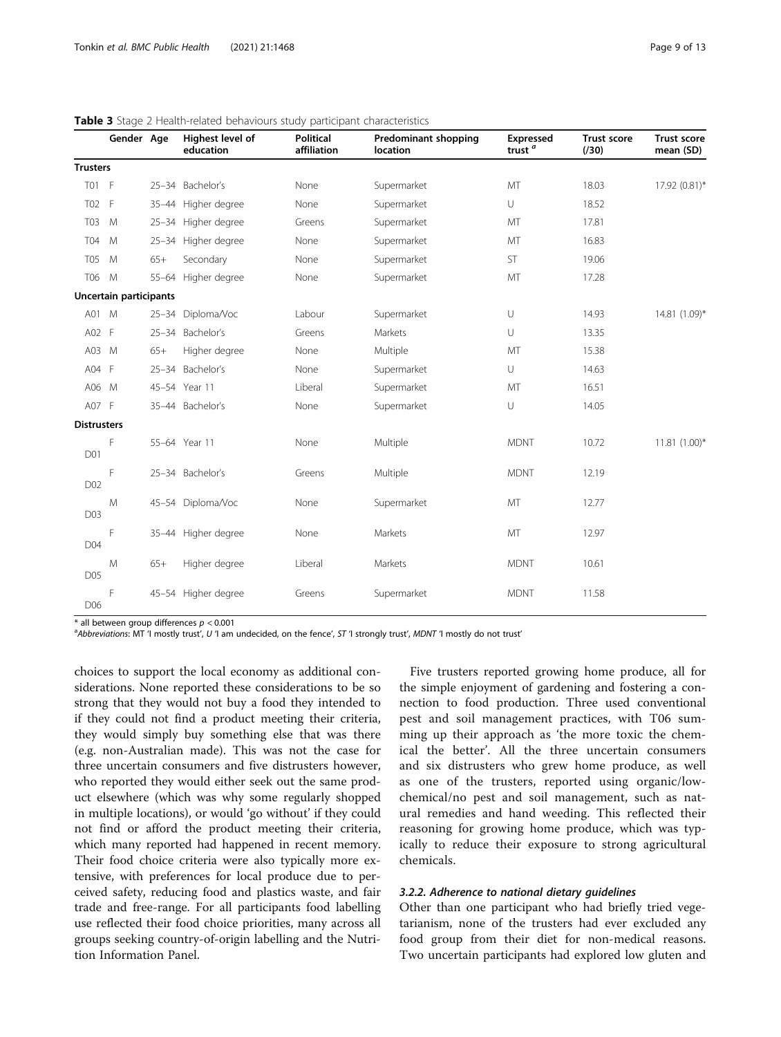|                    | Gender Age             |       | Highest level of<br>education | Political<br>affiliation | <b>Predominant shopping</b><br>location | <b>Expressed</b><br>trust <sup><math>a</math></sup> | <b>Trust score</b><br>(730) | <b>Trust score</b><br>mean (SD) |
|--------------------|------------------------|-------|-------------------------------|--------------------------|-----------------------------------------|-----------------------------------------------------|-----------------------------|---------------------------------|
| <b>Trusters</b>    |                        |       |                               |                          |                                         |                                                     |                             |                                 |
| <b>T01</b>         | - F                    |       | 25-34 Bachelor's              | None                     | Supermarket                             | MT                                                  | 18.03                       | 17.92 (0.81)*                   |
| T <sub>02</sub>    | - F                    |       | 35-44 Higher degree           | None                     | Supermarket                             | U                                                   | 18.52                       |                                 |
| <b>T03</b>         | M                      |       | 25-34 Higher degree           | Greens                   | Supermarket                             | MT                                                  | 17.81                       |                                 |
| <b>T04</b>         | M                      |       | 25-34 Higher degree           | None                     | Supermarket                             | MT                                                  | 16.83                       |                                 |
| T05                | M                      | $65+$ | Secondary                     | None                     | Supermarket                             | ST                                                  | 19.06                       |                                 |
| T06                | M                      |       | 55-64 Higher degree           | None                     | Supermarket                             | MT                                                  | 17.28                       |                                 |
|                    | Uncertain participants |       |                               |                          |                                         |                                                     |                             |                                 |
| A01 M              |                        |       | 25-34 Diploma/Voc             | Labour                   | Supermarket                             | U                                                   | 14.93                       | 14.81 (1.09)*                   |
| A02 F              |                        |       | 25-34 Bachelor's              | Greens                   | Markets                                 | U                                                   | 13.35                       |                                 |
| A03 M              |                        | $65+$ | Higher degree                 | None                     | Multiple                                | MT                                                  | 15.38                       |                                 |
| A04 F              |                        |       | 25-34 Bachelor's              | None                     | Supermarket                             | $\cup$                                              | 14.63                       |                                 |
| A06 M              |                        |       | 45-54 Year 11                 | Liberal                  | Supermarket                             | MT                                                  | 16.51                       |                                 |
| A07 F              |                        |       | 35-44 Bachelor's              | None                     | Supermarket                             | $\cup$                                              | 14.05                       |                                 |
| <b>Distrusters</b> |                        |       |                               |                          |                                         |                                                     |                             |                                 |
| D01                | F                      |       | 55-64 Year 11                 | None                     | Multiple                                | <b>MDNT</b>                                         | 10.72                       | $11.81(1.00)*$                  |
| D02                | F                      |       | 25-34 Bachelor's              | Greens                   | Multiple                                | <b>MDNT</b>                                         | 12.19                       |                                 |
| D03                | M                      |       | 45-54 Diploma/Voc             | None                     | Supermarket                             | MT                                                  | 12.77                       |                                 |
| D04                | F                      |       | 35-44 Higher degree           | None                     | Markets                                 | MT                                                  | 12.97                       |                                 |
| D05                | M                      | $65+$ | Higher degree                 | Liberal                  | Markets                                 | <b>MDNT</b>                                         | 10.61                       |                                 |
| D06                | F                      |       | 45-54 Higher degree           | Greens                   | Supermarket                             | <b>MDNT</b>                                         | 11.58                       |                                 |

#### <span id="page-8-0"></span>Table 3 Stage 2 Health-related behaviours study participant characteristics

 $*$  all between group differences  $p < 0.001$ 

<sup>a</sup>Abbreviations: MT 'I mostly trust', U 'I am undecided, on the fence', ST 'I strongly trust', MDNT 'I mostly do not trust'

choices to support the local economy as additional considerations. None reported these considerations to be so strong that they would not buy a food they intended to if they could not find a product meeting their criteria, they would simply buy something else that was there (e.g. non-Australian made). This was not the case for three uncertain consumers and five distrusters however, who reported they would either seek out the same product elsewhere (which was why some regularly shopped in multiple locations), or would 'go without' if they could not find or afford the product meeting their criteria, which many reported had happened in recent memory. Their food choice criteria were also typically more extensive, with preferences for local produce due to perceived safety, reducing food and plastics waste, and fair trade and free-range. For all participants food labelling use reflected their food choice priorities, many across all groups seeking country-of-origin labelling and the Nutrition Information Panel.

Five trusters reported growing home produce, all for the simple enjoyment of gardening and fostering a connection to food production. Three used conventional pest and soil management practices, with T06 summing up their approach as 'the more toxic the chemical the better'. All the three uncertain consumers and six distrusters who grew home produce, as well as one of the trusters, reported using organic/lowchemical/no pest and soil management, such as natural remedies and hand weeding. This reflected their reasoning for growing home produce, which was typically to reduce their exposure to strong agricultural chemicals.

#### 3.2.2. Adherence to national dietary guidelines

Other than one participant who had briefly tried vegetarianism, none of the trusters had ever excluded any food group from their diet for non-medical reasons. Two uncertain participants had explored low gluten and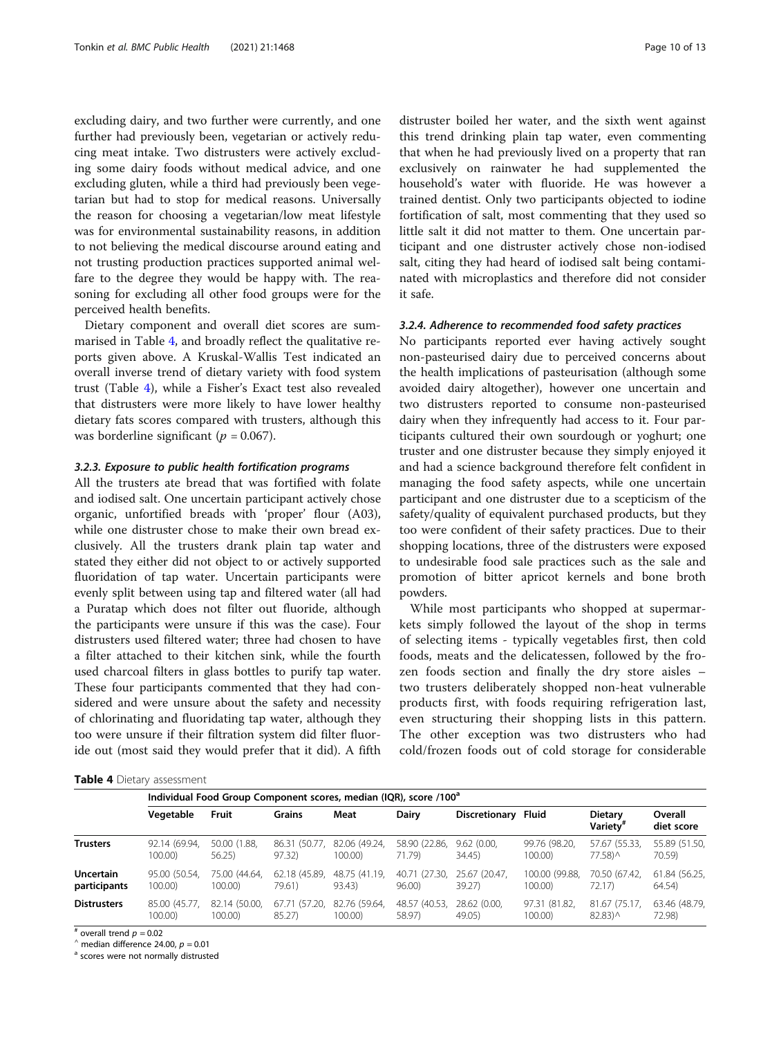excluding dairy, and two further were currently, and one further had previously been, vegetarian or actively reducing meat intake. Two distrusters were actively excluding some dairy foods without medical advice, and one excluding gluten, while a third had previously been vegetarian but had to stop for medical reasons. Universally the reason for choosing a vegetarian/low meat lifestyle was for environmental sustainability reasons, in addition to not believing the medical discourse around eating and not trusting production practices supported animal welfare to the degree they would be happy with. The reasoning for excluding all other food groups were for the perceived health benefits.

Dietary component and overall diet scores are summarised in Table 4, and broadly reflect the qualitative reports given above. A Kruskal-Wallis Test indicated an overall inverse trend of dietary variety with food system trust (Table 4), while a Fisher's Exact test also revealed that distrusters were more likely to have lower healthy dietary fats scores compared with trusters, although this was borderline significant ( $p = 0.067$ ).

#### 3.2.3. Exposure to public health fortification programs

All the trusters ate bread that was fortified with folate and iodised salt. One uncertain participant actively chose organic, unfortified breads with 'proper' flour (A03), while one distruster chose to make their own bread exclusively. All the trusters drank plain tap water and stated they either did not object to or actively supported fluoridation of tap water. Uncertain participants were evenly split between using tap and filtered water (all had a Puratap which does not filter out fluoride, although the participants were unsure if this was the case). Four distrusters used filtered water; three had chosen to have a filter attached to their kitchen sink, while the fourth used charcoal filters in glass bottles to purify tap water. These four participants commented that they had considered and were unsure about the safety and necessity of chlorinating and fluoridating tap water, although they too were unsure if their filtration system did filter fluoride out (most said they would prefer that it did). A fifth

distruster boiled her water, and the sixth went against this trend drinking plain tap water, even commenting that when he had previously lived on a property that ran exclusively on rainwater he had supplemented the household's water with fluoride. He was however a trained dentist. Only two participants objected to iodine fortification of salt, most commenting that they used so little salt it did not matter to them. One uncertain participant and one distruster actively chose non-iodised salt, citing they had heard of iodised salt being contaminated with microplastics and therefore did not consider it safe.

#### 3.2.4. Adherence to recommended food safety practices

No participants reported ever having actively sought non-pasteurised dairy due to perceived concerns about the health implications of pasteurisation (although some avoided dairy altogether), however one uncertain and two distrusters reported to consume non-pasteurised dairy when they infrequently had access to it. Four participants cultured their own sourdough or yoghurt; one truster and one distruster because they simply enjoyed it and had a science background therefore felt confident in managing the food safety aspects, while one uncertain participant and one distruster due to a scepticism of the safety/quality of equivalent purchased products, but they too were confident of their safety practices. Due to their shopping locations, three of the distrusters were exposed to undesirable food sale practices such as the sale and promotion of bitter apricot kernels and bone broth powders.

While most participants who shopped at supermarkets simply followed the layout of the shop in terms of selecting items - typically vegetables first, then cold foods, meats and the delicatessen, followed by the frozen foods section and finally the dry store aisles – two trusters deliberately shopped non-heat vulnerable products first, with foods requiring refrigeration last, even structuring their shopping lists in this pattern. The other exception was two distrusters who had cold/frozen foods out of cold storage for considerable

|  |  | Table 4 Dietary assessment |
|--|--|----------------------------|
|--|--|----------------------------|

|                    | Individual Food Group Component scores, median (IQR), score /100 <sup>a</sup> |               |               |               |               |               |                |                                        |                       |
|--------------------|-------------------------------------------------------------------------------|---------------|---------------|---------------|---------------|---------------|----------------|----------------------------------------|-----------------------|
|                    | Vegetable                                                                     | Fruit         | <b>Grains</b> | Meat          | <b>Dairy</b>  | Discretionary | Fluid          | <b>Dietary</b><br>Varietv <sup>#</sup> | Overall<br>diet score |
| <b>Trusters</b>    | 92.14 (69.94,                                                                 | 50.00 (1.88.  | 86.31 (50.77. | 82.06 (49.24. | 58.90 (22.86. | 9.62(0.00)    | 99.76 (98.20.  | 57.67 (55.33,                          | 55.89 (51.50,         |
|                    | 100.00                                                                        | 56.25         | 97.32         | 100.00)       | 71.79)        | 34.45         | 100.00)        | 77.58) ^                               | 70.59)                |
| <b>Uncertain</b>   | 95.00 (50.54,                                                                 | 75.00 (44.64. | 62.18 (45.89, | 48.75 (41.19, | 40.71 (27.30. | 25.67 (20.47. | 100.00 (99.88, | 70.50 (67.42,                          | 61.84 (56.25,         |
| participants       | $100.00$ )                                                                    | 100.00)       | 79.61)        | 93.43)        | 96.00)        | 39.27)        | 100.00)        | 72.17                                  | 64.54)                |
| <b>Distrusters</b> | 85.00 (45.77.                                                                 | 82.14 (50.00. | 67.71 (57.20. | 82.76 (59.64. | 48.57 (40.53, | 28.62 (0.00.  | 97.31 (81.82,  | 81.67 (75.17,                          | 63.46 (48.79,         |
|                    | 100.00                                                                        | 100.00)       | 85.27)        | 100.00)       | 58.97)        | 49.05)        | 100.00)        | 82.83) ^                               | 72.98)                |

# overall trend  $p = 0.02$ <br>  $\hat{ }$  median difference 24.00,  $p = 0.01$ <br>  $\hat{ }$  scores were not normally distrusted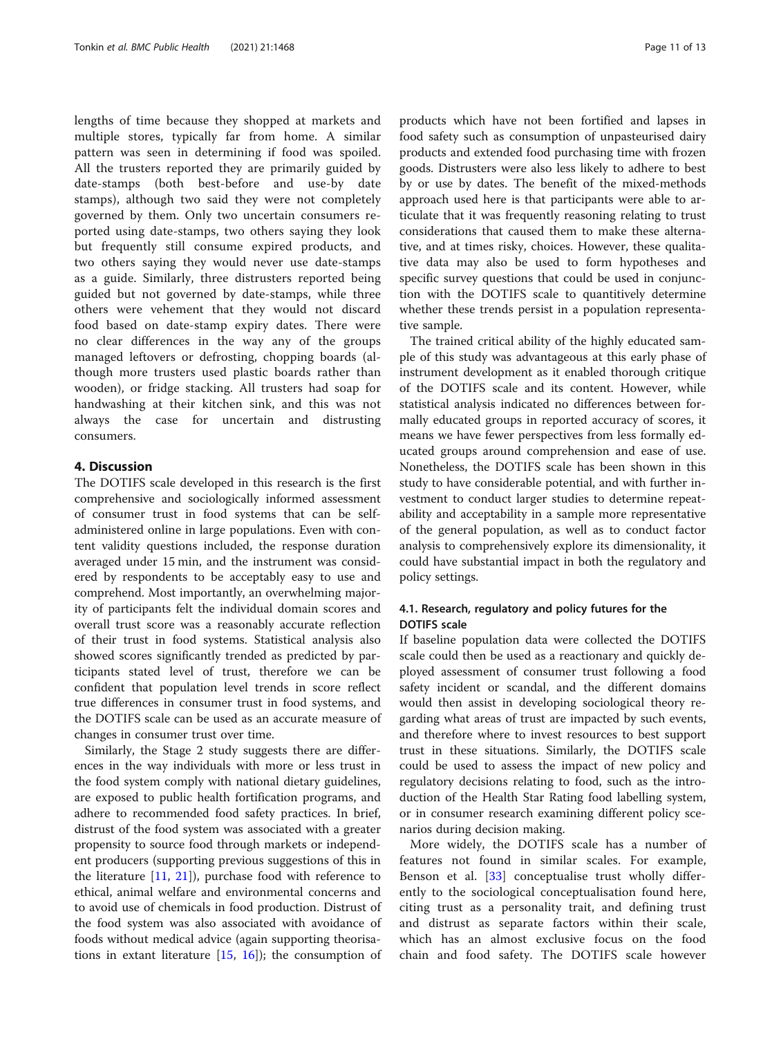lengths of time because they shopped at markets and multiple stores, typically far from home. A similar pattern was seen in determining if food was spoiled. All the trusters reported they are primarily guided by date-stamps (both best-before and use-by date stamps), although two said they were not completely governed by them. Only two uncertain consumers reported using date-stamps, two others saying they look but frequently still consume expired products, and two others saying they would never use date-stamps as a guide. Similarly, three distrusters reported being guided but not governed by date-stamps, while three others were vehement that they would not discard food based on date-stamp expiry dates. There were no clear differences in the way any of the groups managed leftovers or defrosting, chopping boards (although more trusters used plastic boards rather than wooden), or fridge stacking. All trusters had soap for handwashing at their kitchen sink, and this was not always the case for uncertain and distrusting consumers.

#### 4. Discussion

The DOTIFS scale developed in this research is the first comprehensive and sociologically informed assessment of consumer trust in food systems that can be selfadministered online in large populations. Even with content validity questions included, the response duration averaged under 15 min, and the instrument was considered by respondents to be acceptably easy to use and comprehend. Most importantly, an overwhelming majority of participants felt the individual domain scores and overall trust score was a reasonably accurate reflection of their trust in food systems. Statistical analysis also showed scores significantly trended as predicted by participants stated level of trust, therefore we can be confident that population level trends in score reflect true differences in consumer trust in food systems, and the DOTIFS scale can be used as an accurate measure of changes in consumer trust over time.

Similarly, the Stage 2 study suggests there are differences in the way individuals with more or less trust in the food system comply with national dietary guidelines, are exposed to public health fortification programs, and adhere to recommended food safety practices. In brief, distrust of the food system was associated with a greater propensity to source food through markets or independent producers (supporting previous suggestions of this in the literature [[11,](#page-12-0) [21\]](#page-12-0)), purchase food with reference to ethical, animal welfare and environmental concerns and to avoid use of chemicals in food production. Distrust of the food system was also associated with avoidance of foods without medical advice (again supporting theorisations in extant literature  $[15, 16]$  $[15, 16]$  $[15, 16]$  $[15, 16]$ ; the consumption of

products which have not been fortified and lapses in food safety such as consumption of unpasteurised dairy products and extended food purchasing time with frozen goods. Distrusters were also less likely to adhere to best by or use by dates. The benefit of the mixed-methods approach used here is that participants were able to articulate that it was frequently reasoning relating to trust considerations that caused them to make these alternative, and at times risky, choices. However, these qualitative data may also be used to form hypotheses and specific survey questions that could be used in conjunction with the DOTIFS scale to quantitively determine whether these trends persist in a population representative sample.

The trained critical ability of the highly educated sample of this study was advantageous at this early phase of instrument development as it enabled thorough critique of the DOTIFS scale and its content. However, while statistical analysis indicated no differences between formally educated groups in reported accuracy of scores, it means we have fewer perspectives from less formally educated groups around comprehension and ease of use. Nonetheless, the DOTIFS scale has been shown in this study to have considerable potential, and with further investment to conduct larger studies to determine repeatability and acceptability in a sample more representative of the general population, as well as to conduct factor analysis to comprehensively explore its dimensionality, it could have substantial impact in both the regulatory and policy settings.

#### 4.1. Research, regulatory and policy futures for the DOTIFS scale

If baseline population data were collected the DOTIFS scale could then be used as a reactionary and quickly deployed assessment of consumer trust following a food safety incident or scandal, and the different domains would then assist in developing sociological theory regarding what areas of trust are impacted by such events, and therefore where to invest resources to best support trust in these situations. Similarly, the DOTIFS scale could be used to assess the impact of new policy and regulatory decisions relating to food, such as the introduction of the Health Star Rating food labelling system, or in consumer research examining different policy scenarios during decision making.

More widely, the DOTIFS scale has a number of features not found in similar scales. For example, Benson et al. [\[33](#page-12-0)] conceptualise trust wholly differently to the sociological conceptualisation found here, citing trust as a personality trait, and defining trust and distrust as separate factors within their scale, which has an almost exclusive focus on the food chain and food safety. The DOTIFS scale however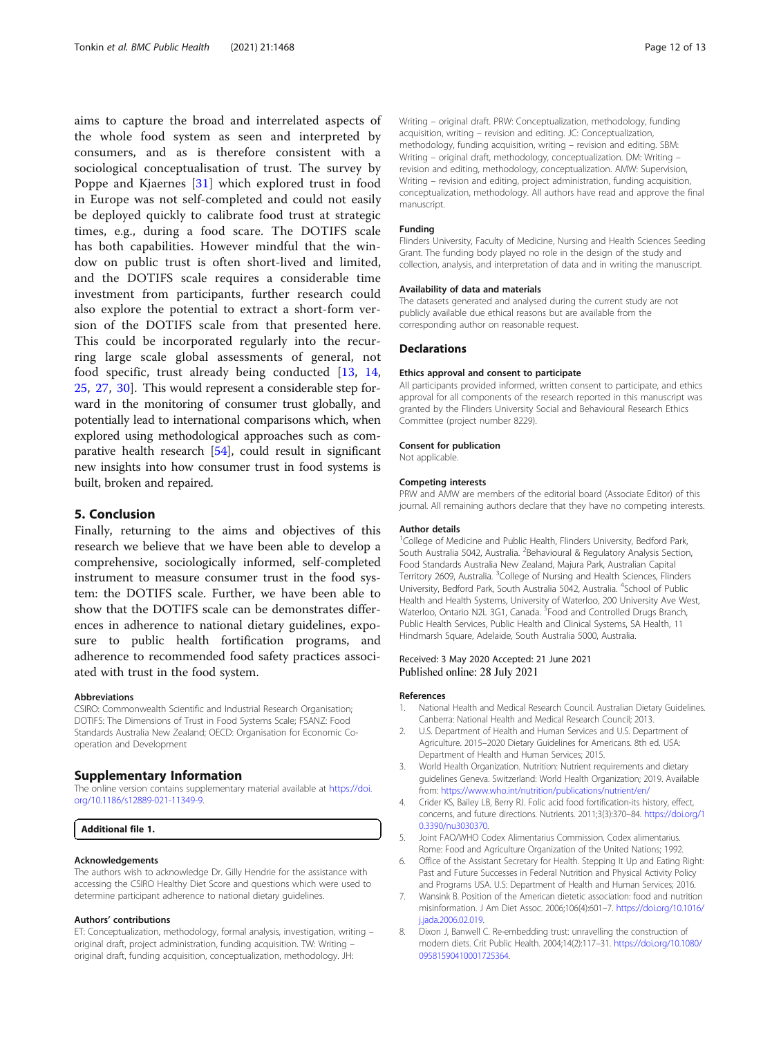<span id="page-11-0"></span>aims to capture the broad and interrelated aspects of the whole food system as seen and interpreted by consumers, and as is therefore consistent with a sociological conceptualisation of trust. The survey by Poppe and Kjaernes [\[31](#page-12-0)] which explored trust in food in Europe was not self-completed and could not easily be deployed quickly to calibrate food trust at strategic times, e.g., during a food scare. The DOTIFS scale has both capabilities. However mindful that the window on public trust is often short-lived and limited, and the DOTIFS scale requires a considerable time investment from participants, further research could also explore the potential to extract a short-form version of the DOTIFS scale from that presented here. This could be incorporated regularly into the recurring large scale global assessments of general, not food specific, trust already being conducted [[13,](#page-12-0) [14](#page-12-0), [25,](#page-12-0) [27,](#page-12-0) [30](#page-12-0)]. This would represent a considerable step forward in the monitoring of consumer trust globally, and potentially lead to international comparisons which, when explored using methodological approaches such as comparative health research [[54](#page-12-0)], could result in significant new insights into how consumer trust in food systems is built, broken and repaired.

#### 5. Conclusion

Finally, returning to the aims and objectives of this research we believe that we have been able to develop a comprehensive, sociologically informed, self-completed instrument to measure consumer trust in the food system: the DOTIFS scale. Further, we have been able to show that the DOTIFS scale can be demonstrates differences in adherence to national dietary guidelines, exposure to public health fortification programs, and adherence to recommended food safety practices associated with trust in the food system.

#### Abbreviations

CSIRO: Commonwealth Scientific and Industrial Research Organisation; DOTIFS: The Dimensions of Trust in Food Systems Scale; FSANZ: Food Standards Australia New Zealand; OECD: Organisation for Economic Cooperation and Development

#### Supplementary Information

The online version contains supplementary material available at [https://doi.](https://doi.org/10.1186/s12889-021-11349-9) [org/10.1186/s12889-021-11349-9.](https://doi.org/10.1186/s12889-021-11349-9)

Additional file 1.

#### Acknowledgements

The authors wish to acknowledge Dr. Gilly Hendrie for the assistance with accessing the CSIRO Healthy Diet Score and questions which were used to determine participant adherence to national dietary guidelines.

#### Authors' contributions

ET: Conceptualization, methodology, formal analysis, investigation, writing – original draft, project administration, funding acquisition. TW: Writing – original draft, funding acquisition, conceptualization, methodology. JH:

Writing – original draft. PRW: Conceptualization, methodology, funding acquisition, writing – revision and editing. JC: Conceptualization, methodology, funding acquisition, writing – revision and editing. SBM: Writing – original draft, methodology, conceptualization. DM: Writing – revision and editing, methodology, conceptualization. AMW: Supervision, Writing – revision and editing, project administration, funding acquisition, conceptualization, methodology. All authors have read and approve the final manuscript.

#### Funding

Flinders University, Faculty of Medicine, Nursing and Health Sciences Seeding Grant. The funding body played no role in the design of the study and collection, analysis, and interpretation of data and in writing the manuscript.

#### Availability of data and materials

The datasets generated and analysed during the current study are not publicly available due ethical reasons but are available from the corresponding author on reasonable request.

#### Declarations

#### Ethics approval and consent to participate

All participants provided informed, written consent to participate, and ethics approval for all components of the research reported in this manuscript was granted by the Flinders University Social and Behavioural Research Ethics Committee (project number 8229).

#### Consent for publication

Not applicable.

#### Competing interests

PRW and AMW are members of the editorial board (Associate Editor) of this journal. All remaining authors declare that they have no competing interests.

#### Author details

<sup>1</sup>College of Medicine and Public Health, Flinders University, Bedford Park, South Australia 5042, Australia. <sup>2</sup> Behavioural & Regulatory Analysis Section, Food Standards Australia New Zealand, Majura Park, Australian Capital Territory 2609, Australia. <sup>3</sup>College of Nursing and Health Sciences, Flinders University, Bedford Park, South Australia 5042, Australia. <sup>4</sup>School of Public Health and Health Systems, University of Waterloo, 200 University Ave West, Waterloo, Ontario N2L 3G1, Canada. <sup>5</sup> Food and Controlled Drugs Branch Public Health Services, Public Health and Clinical Systems, SA Health, 11 Hindmarsh Square, Adelaide, South Australia 5000, Australia.

#### Received: 3 May 2020 Accepted: 21 June 2021 Published online: 28 July 2021

#### References

- 1. National Health and Medical Research Council. Australian Dietary Guidelines. Canberra: National Health and Medical Research Council; 2013.
- 2. U.S. Department of Health and Human Services and U.S. Department of Agriculture. 2015–2020 Dietary Guidelines for Americans. 8th ed. USA: Department of Health and Human Services; 2015.
- 3. World Health Organization. Nutrition: Nutrient requirements and dietary guidelines Geneva. Switzerland: World Health Organization; 2019. Available from: <https://www.who.int/nutrition/publications/nutrient/en/>
- 4. Crider KS, Bailey LB, Berry RJ. Folic acid food fortification-its history, effect, concerns, and future directions. Nutrients. 2011;3(3):370–84. [https://doi.org/1](https://doi.org/10.3390/nu3030370) [0.3390/nu3030370.](https://doi.org/10.3390/nu3030370)
- 5. Joint FAO/WHO Codex Alimentarius Commission. Codex alimentarius. Rome: Food and Agriculture Organization of the United Nations; 1992.
- 6. Office of the Assistant Secretary for Health. Stepping It Up and Eating Right: Past and Future Successes in Federal Nutrition and Physical Activity Policy and Programs USA. U.S: Department of Health and Human Services; 2016.
- 7. Wansink B. Position of the American dietetic association: food and nutrition misinformation. J Am Diet Assoc. 2006;106(4):601–7. [https://doi.org/10.1016/](https://doi.org/10.1016/j.jada.2006.02.019) [j.jada.2006.02.019](https://doi.org/10.1016/j.jada.2006.02.019).
- 8. Dixon J, Banwell C. Re-embedding trust: unravelling the construction of modern diets. Crit Public Health. 2004;14(2):117–31. [https://doi.org/10.1080/](https://doi.org/10.1080/09581590410001725364) [09581590410001725364.](https://doi.org/10.1080/09581590410001725364)